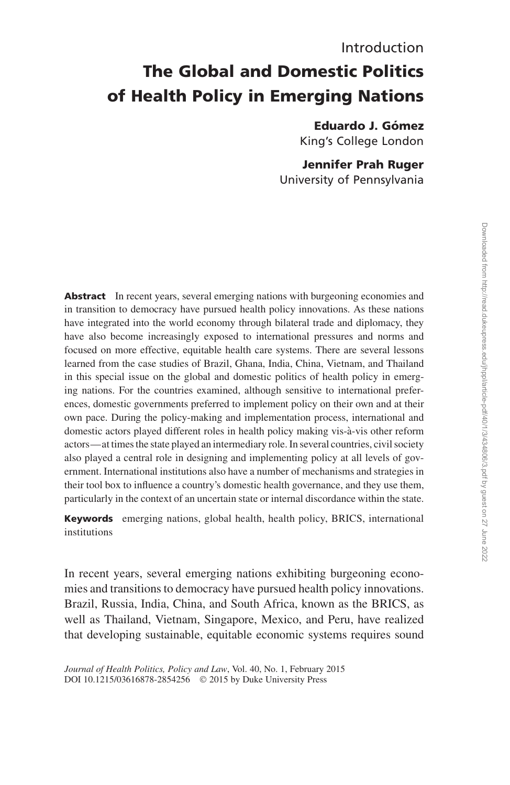# Introduction

# The Global and Domestic Politics of Health Policy in Emerging Nations

Eduardo J. Gómez King's College London

Jennifer Prah Ruger University of Pennsylvania

**Abstract** In recent years, several emerging nations with burgeoning economies and in transition to democracy have pursued health policy innovations. As these nations have integrated into the world economy through bilateral trade and diplomacy, they have also become increasingly exposed to international pressures and norms and focused on more effective, equitable health care systems. There are several lessons learned from the case studies of Brazil, Ghana, India, China, Vietnam, and Thailand in this special issue on the global and domestic politics of health policy in emerging nations. For the countries examined, although sensitive to international preferences, domestic governments preferred to implement policy on their own and at their own pace. During the policy-making and implementation process, international and domestic actors played different roles in health policy making vis-a`-vis other reform actors—at times the state played an intermediary role. In several countries, civil society also played a central role in designing and implementing policy at all levels of government. International institutions also have a number of mechanisms and strategies in their tool box to influence a country's domestic health governance, and they use them, particularly in the context of an uncertain state or internal discordance within the state.

Keywords emerging nations, global health, health policy, BRICS, international institutions

In recent years, several emerging nations exhibiting burgeoning economies and transitions to democracy have pursued health policy innovations. Brazil, Russia, India, China, and South Africa, known as the BRICS, as well as Thailand, Vietnam, Singapore, Mexico, and Peru, have realized that developing sustainable, equitable economic systems requires sound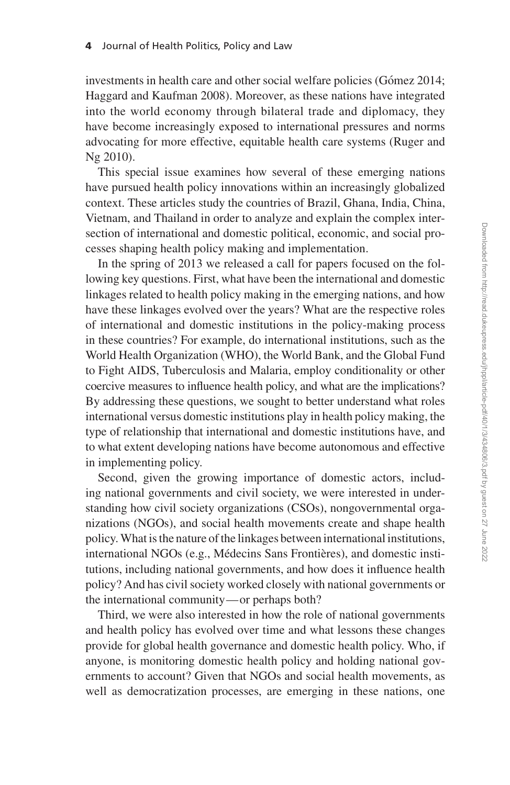investments in health care and other social welfare policies (Gómez 2014; Haggard and Kaufman 2008). Moreover, as these nations have integrated into the world economy through bilateral trade and diplomacy, they have become increasingly exposed to international pressures and norms advocating for more effective, equitable health care systems (Ruger and Ng 2010).

This special issue examines how several of these emerging nations have pursued health policy innovations within an increasingly globalized context. These articles study the countries of Brazil, Ghana, India, China, Vietnam, and Thailand in order to analyze and explain the complex intersection of international and domestic political, economic, and social processes shaping health policy making and implementation.

In the spring of 2013 we released a call for papers focused on the following key questions. First, what have been the international and domestic linkages related to health policy making in the emerging nations, and how have these linkages evolved over the years? What are the respective roles of international and domestic institutions in the policy-making process in these countries? For example, do international institutions, such as the World Health Organization (WHO), the World Bank, and the Global Fund to Fight AIDS, Tuberculosis and Malaria, employ conditionality or other coercive measures to influence health policy, and what are the implications? By addressing these questions, we sought to better understand what roles international versus domestic institutions play in health policy making, the type of relationship that international and domestic institutions have, and to what extent developing nations have become autonomous and effective in implementing policy.

Second, given the growing importance of domestic actors, including national governments and civil society, we were interested in understanding how civil society organizations (CSOs), nongovernmental organizations (NGOs), and social health movements create and shape health policy. What is the nature of the linkages between international institutions, international NGOs (e.g., Médecins Sans Frontières), and domestic institutions, including national governments, and how does it influence health policy? And has civil society worked closely with national governments or the international community—or perhaps both?

Third, we were also interested in how the role of national governments and health policy has evolved over time and what lessons these changes provide for global health governance and domestic health policy. Who, if anyone, is monitoring domestic health policy and holding national governments to account? Given that NGOs and social health movements, as well as democratization processes, are emerging in these nations, one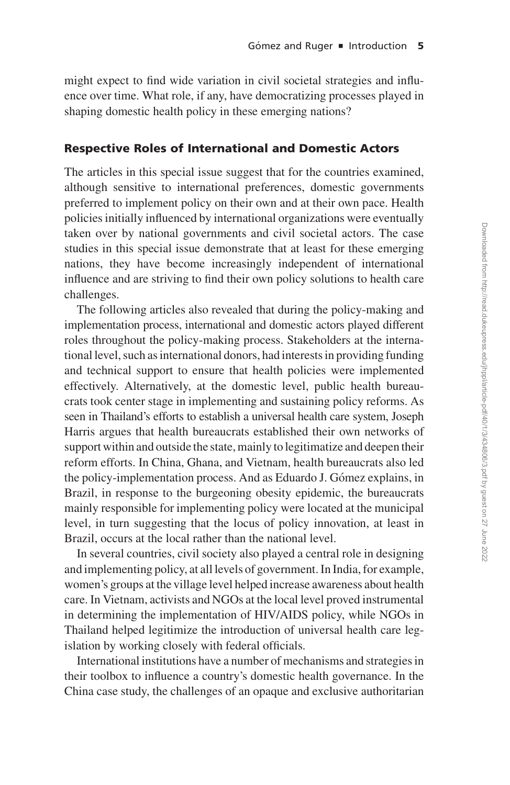might expect to find wide variation in civil societal strategies and influence over time. What role, if any, have democratizing processes played in shaping domestic health policy in these emerging nations?

### Respective Roles of International and Domestic Actors

The articles in this special issue suggest that for the countries examined, although sensitive to international preferences, domestic governments preferred to implement policy on their own and at their own pace. Health policies initially influenced by international organizations were eventually taken over by national governments and civil societal actors. The case studies in this special issue demonstrate that at least for these emerging nations, they have become increasingly independent of international influence and are striving to find their own policy solutions to health care challenges.

The following articles also revealed that during the policy-making and implementation process, international and domestic actors played different roles throughout the policy-making process. Stakeholders at the international level, such as international donors, had interests in providing funding and technical support to ensure that health policies were implemented effectively. Alternatively, at the domestic level, public health bureaucrats took center stage in implementing and sustaining policy reforms. As seen in Thailand's efforts to establish a universal health care system, Joseph Harris argues that health bureaucrats established their own networks of support within and outside the state, mainly to legitimatize and deepen their reform efforts. In China, Ghana, and Vietnam, health bureaucrats also led the policy-implementation process. And as Eduardo J. Gómez explains, in Brazil, in response to the burgeoning obesity epidemic, the bureaucrats mainly responsible for implementing policy were located at the municipal level, in turn suggesting that the locus of policy innovation, at least in Brazil, occurs at the local rather than the national level.

In several countries, civil society also played a central role in designing and implementing policy, at all levels of government. In India, for example, women's groups at the village level helped increase awareness about health care. In Vietnam, activists and NGOs at the local level proved instrumental in determining the implementation of HIV/AIDS policy, while NGOs in Thailand helped legitimize the introduction of universal health care legislation by working closely with federal officials.

International institutions have a number of mechanisms and strategies in their toolbox to influence a country's domestic health governance. In the China case study, the challenges of an opaque and exclusive authoritarian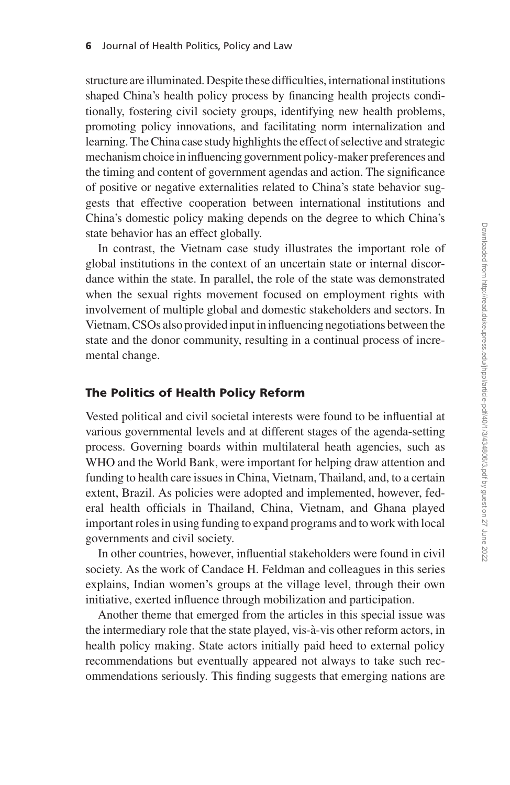structure are illuminated. Despite these difficulties, international institutions shaped China's health policy process by financing health projects conditionally, fostering civil society groups, identifying new health problems, promoting policy innovations, and facilitating norm internalization and learning. The China case study highlights the effect of selective and strategic mechanism choice in influencing government policy-maker preferences and the timing and content of government agendas and action. The significance of positive or negative externalities related to China's state behavior suggests that effective cooperation between international institutions and China's domestic policy making depends on the degree to which China's state behavior has an effect globally.

In contrast, the Vietnam case study illustrates the important role of global institutions in the context of an uncertain state or internal discordance within the state. In parallel, the role of the state was demonstrated when the sexual rights movement focused on employment rights with involvement of multiple global and domestic stakeholders and sectors. In Vietnam, CSOs also provided input in influencing negotiations between the state and the donor community, resulting in a continual process of incremental change.

# The Politics of Health Policy Reform

Vested political and civil societal interests were found to be influential at various governmental levels and at different stages of the agenda-setting process. Governing boards within multilateral heath agencies, such as WHO and the World Bank, were important for helping draw attention and funding to health care issues in China, Vietnam, Thailand, and, to a certain extent, Brazil. As policies were adopted and implemented, however, federal health officials in Thailand, China, Vietnam, and Ghana played important roles in using funding to expand programs and to work with local governments and civil society.

In other countries, however, influential stakeholders were found in civil society. As the work of Candace H. Feldman and colleagues in this series explains, Indian women's groups at the village level, through their own initiative, exerted influence through mobilization and participation.

Another theme that emerged from the articles in this special issue was the intermediary role that the state played, vis-à-vis other reform actors, in health policy making. State actors initially paid heed to external policy recommendations but eventually appeared not always to take such recommendations seriously. This finding suggests that emerging nations are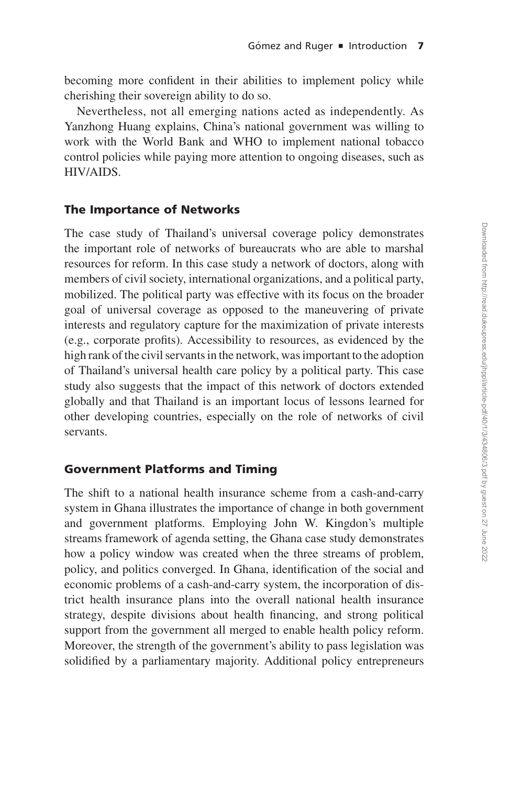becoming more confident in their abilities to implement policy while cherishing their sovereign ability to do so.

Nevertheless, not all emerging nations acted as independently. As Yanzhong Huang explains, China's national government was willing to work with the World Bank and WHO to implement national tobacco control policies while paying more attention to ongoing diseases, such as HIV/AIDS.

#### The Importance of Networks

The case study of Thailand's universal coverage policy demonstrates the important role of networks of bureaucrats who are able to marshal resources for reform. In this case study a network of doctors, along with members of civil society, international organizations, and a political party, mobilized. The political party was effective with its focus on the broader goal of universal coverage as opposed to the maneuvering of private interests and regulatory capture for the maximization of private interests (e.g., corporate profits). Accessibility to resources, as evidenced by the high rank of the civil servants in the network, was important to the adoption of Thailand's universal health care policy by a political party. This case study also suggests that the impact of this network of doctors extended globally and that Thailand is an important locus of lessons learned for other developing countries, especially on the role of networks of civil servants.

# Government Platforms and Timing

The shift to a national health insurance scheme from a cash-and-carry system in Ghana illustrates the importance of change in both government and government platforms. Employing John W. Kingdon's multiple streams framework of agenda setting, the Ghana case study demonstrates how a policy window was created when the three streams of problem, policy, and politics converged. In Ghana, identification of the social and economic problems of a cash-and-carry system, the incorporation of district health insurance plans into the overall national health insurance strategy, despite divisions about health financing, and strong political support from the government all merged to enable health policy reform. Moreover, the strength of the government's ability to pass legislation was solidified by a parliamentary majority. Additional policy entrepreneurs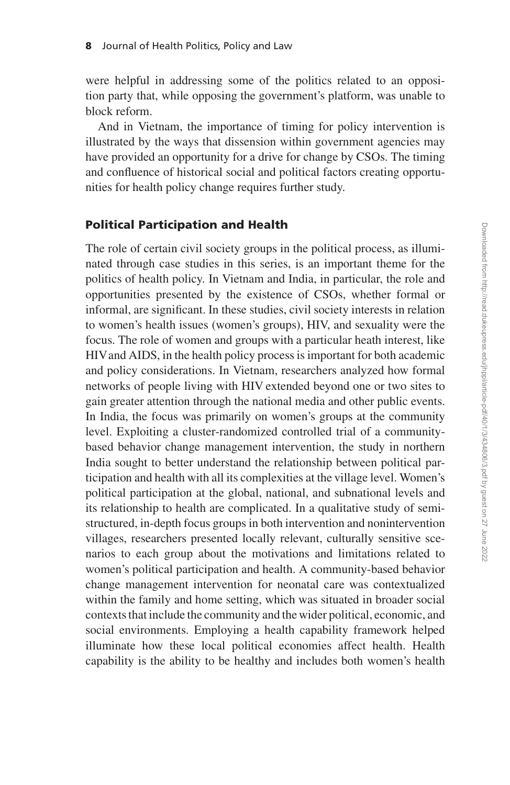were helpful in addressing some of the politics related to an opposition party that, while opposing the government's platform, was unable to block reform.

And in Vietnam, the importance of timing for policy intervention is illustrated by the ways that dissension within government agencies may have provided an opportunity for a drive for change by CSOs. The timing and confluence of historical social and political factors creating opportunities for health policy change requires further study.

#### Political Participation and Health

The role of certain civil society groups in the political process, as illuminated through case studies in this series, is an important theme for the politics of health policy. In Vietnam and India, in particular, the role and opportunities presented by the existence of CSOs, whether formal or informal, are significant. In these studies, civil society interests in relation to women's health issues (women's groups), HIV, and sexuality were the focus. The role of women and groups with a particular heath interest, like HIVand AIDS, in the health policy process is important for both academic and policy considerations. In Vietnam, researchers analyzed how formal networks of people living with HIV extended beyond one or two sites to gain greater attention through the national media and other public events. In India, the focus was primarily on women's groups at the community level. Exploiting a cluster-randomized controlled trial of a communitybased behavior change management intervention, the study in northern India sought to better understand the relationship between political participation and health with all its complexities at the village level. Women's political participation at the global, national, and subnational levels and its relationship to health are complicated. In a qualitative study of semistructured, in-depth focus groups in both intervention and nonintervention villages, researchers presented locally relevant, culturally sensitive scenarios to each group about the motivations and limitations related to women's political participation and health. A community-based behavior change management intervention for neonatal care was contextualized within the family and home setting, which was situated in broader social contexts that include the community and the wider political, economic, and social environments. Employing a health capability framework helped illuminate how these local political economies affect health. Health capability is the ability to be healthy and includes both women's health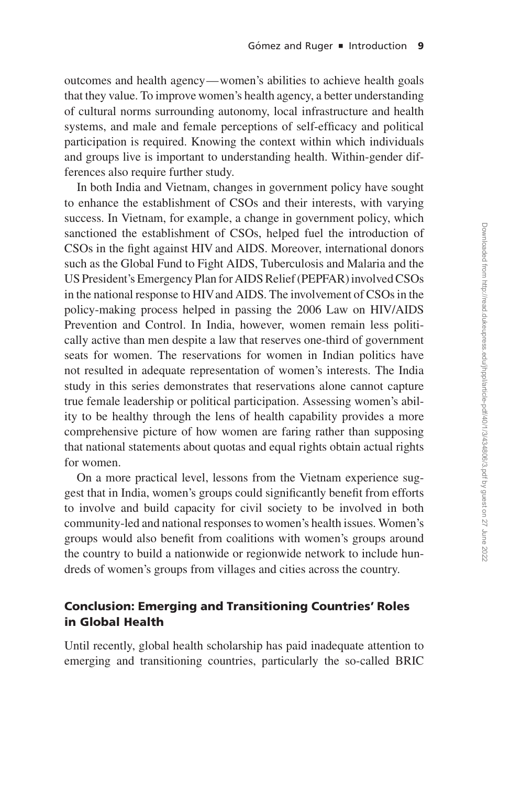outcomes and health agency—women's abilities to achieve health goals that they value. To improve women's health agency, a better understanding of cultural norms surrounding autonomy, local infrastructure and health systems, and male and female perceptions of self-efficacy and political participation is required. Knowing the context within which individuals and groups live is important to understanding health. Within-gender differences also require further study.

In both India and Vietnam, changes in government policy have sought to enhance the establishment of CSOs and their interests, with varying success. In Vietnam, for example, a change in government policy, which sanctioned the establishment of CSOs, helped fuel the introduction of CSOs in the fight against HIV and AIDS. Moreover, international donors such as the Global Fund to Fight AIDS, Tuberculosis and Malaria and the US President's Emergency Plan for AIDS Relief (PEPFAR) involved CSOs in the national response to HIVand AIDS. The involvement of CSOs in the policy-making process helped in passing the 2006 Law on HIV/AIDS Prevention and Control. In India, however, women remain less politically active than men despite a law that reserves one-third of government seats for women. The reservations for women in Indian politics have not resulted in adequate representation of women's interests. The India study in this series demonstrates that reservations alone cannot capture true female leadership or political participation. Assessing women's ability to be healthy through the lens of health capability provides a more comprehensive picture of how women are faring rather than supposing that national statements about quotas and equal rights obtain actual rights for women.

On a more practical level, lessons from the Vietnam experience suggest that in India, women's groups could significantly benefit from efforts to involve and build capacity for civil society to be involved in both community-led and national responses to women's health issues. Women's groups would also benefit from coalitions with women's groups around the country to build a nationwide or regionwide network to include hundreds of women's groups from villages and cities across the country.

## Conclusion: Emerging and Transitioning Countries' Roles in Global Health

Until recently, global health scholarship has paid inadequate attention to emerging and transitioning countries, particularly the so-called BRIC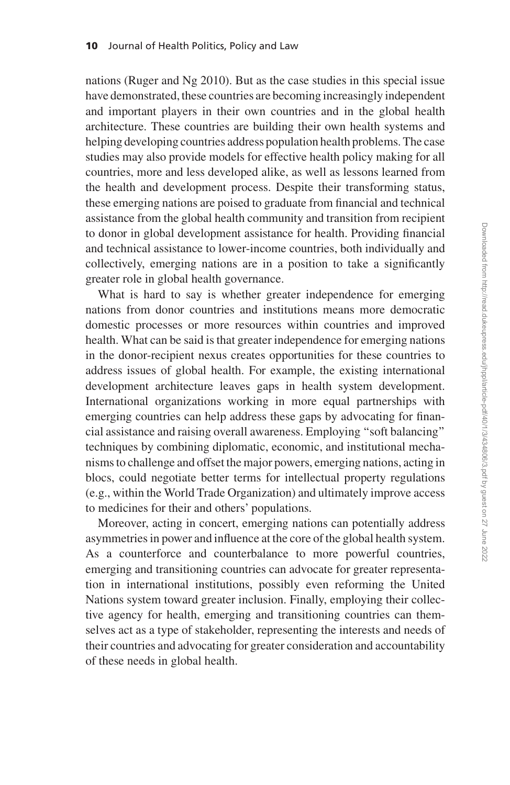nations (Ruger and Ng 2010). But as the case studies in this special issue have demonstrated, these countries are becoming increasingly independent and important players in their own countries and in the global health architecture. These countries are building their own health systems and helping developing countries address population health problems. The case studies may also provide models for effective health policy making for all countries, more and less developed alike, as well as lessons learned from the health and development process. Despite their transforming status, these emerging nations are poised to graduate from financial and technical assistance from the global health community and transition from recipient to donor in global development assistance for health. Providing financial and technical assistance to lower-income countries, both individually and collectively, emerging nations are in a position to take a significantly greater role in global health governance.

What is hard to say is whether greater independence for emerging nations from donor countries and institutions means more democratic domestic processes or more resources within countries and improved health. What can be said is that greater independence for emerging nations in the donor-recipient nexus creates opportunities for these countries to address issues of global health. For example, the existing international development architecture leaves gaps in health system development. International organizations working in more equal partnerships with emerging countries can help address these gaps by advocating for financial assistance and raising overall awareness. Employing ''soft balancing'' techniques by combining diplomatic, economic, and institutional mechanisms to challenge and offset the major powers, emerging nations, acting in blocs, could negotiate better terms for intellectual property regulations (e.g., within the World Trade Organization) and ultimately improve access to medicines for their and others' populations.

Moreover, acting in concert, emerging nations can potentially address asymmetries in power and influence at the core of the global health system. As a counterforce and counterbalance to more powerful countries, emerging and transitioning countries can advocate for greater representation in international institutions, possibly even reforming the United Nations system toward greater inclusion. Finally, employing their collective agency for health, emerging and transitioning countries can themselves act as a type of stakeholder, representing the interests and needs of their countries and advocating for greater consideration and accountability of these needs in global health.